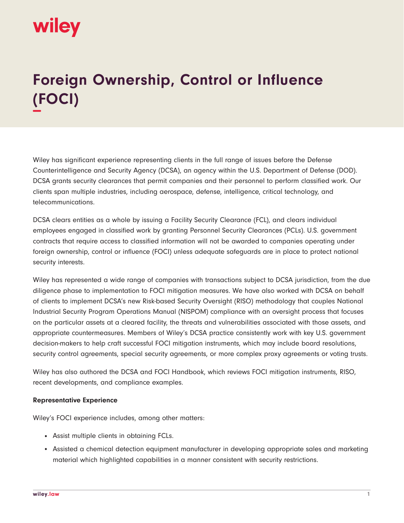

## **Foreign Ownership, Control or Influence (FOCI) −**

Wiley has significant experience representing clients in the full range of issues before the Defense Counterintelligence and Security Agency (DCSA), an agency within the U.S. Department of Defense (DOD). DCSA grants security clearances that permit companies and their personnel to perform classified work. Our clients span multiple industries, including aerospace, defense, intelligence, critical technology, and telecommunications.

DCSA clears entities as a whole by issuing a Facility Security Clearance (FCL), and clears individual employees engaged in classified work by granting Personnel Security Clearances (PCLs). U.S. government contracts that require access to classified information will not be awarded to companies operating under foreign ownership, control or influence (FOCI) unless adequate safeguards are in place to protect national security interests.

Wiley has represented a wide range of companies with transactions subject to DCSA jurisdiction, from the due diligence phase to implementation to FOCI mitigation measures. We have also worked with DCSA on behalf of clients to implement DCSA's new Risk-based Security Oversight (RISO) methodology that couples National Industrial Security Program Operations Manual (NISPOM) compliance with an oversight process that focuses on the particular assets at a cleared facility, the threats and vulnerabilities associated with those assets, and appropriate countermeasures. Members of Wiley's DCSA practice consistently work with key U.S. government decision-makers to help craft successful FOCI mitigation instruments, which may include board resolutions, security control agreements, special security agreements, or more complex proxy agreements or voting trusts.

Wiley has also authored the DCSA and FOCI Handbook, which reviews FOCI mitigation instruments, RISO, recent developments, and compliance examples.

## **Representative Experience**

Wiley's FOCI experience includes, among other matters:

- Assist multiple clients in obtaining FCLs.
- Assisted a chemical detection equipment manufacturer in developing appropriate sales and marketing material which highlighted capabilities in a manner consistent with security restrictions.